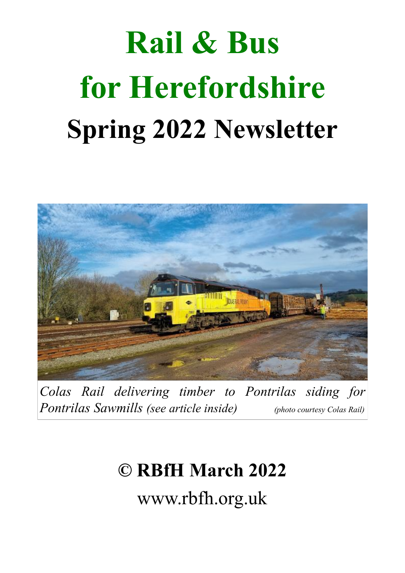# **Rail & Bus for Herefordshire Spring 2022 Newsletter**



*Colas Rail delivering timber to Pontrilas siding for Pontrilas Sawmills (see article inside) (photo courtesy Colas Rail)* 

# **© RBfH March 2022**

www.rbfh.org.uk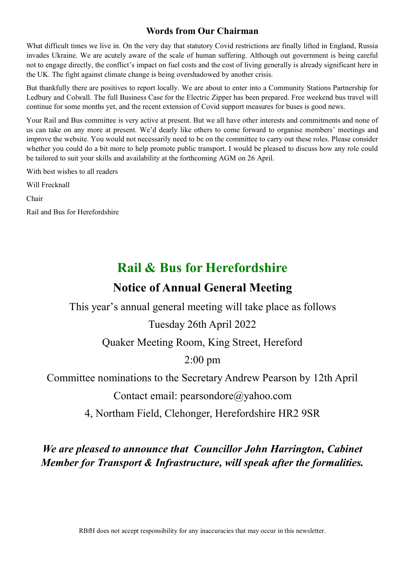#### **Words from Our Chairman**

What difficult times we live in. On the very day that statutory Covid restrictions are finally lifted in England, Russia invades Ukraine. We are acutely aware of the scale of human suffering. Although out government is being careful not to engage directly, the conflict's impact on fuel costs and the cost of living generally is already significant here in the UK. The fight against climate change is being overshadowed by another crisis.

But thankfully there are positives to report locally. We are about to enter into a Community Stations Partnership for Ledbury and Colwall. The full Business Case for the Electric Zipper has been prepared. Free weekend bus travel will continue for some months yet, and the recent extension of Covid support measures for buses is good news.

Your Rail and Bus committee is very active at present. But we all have other interests and commitments and none of us can take on any more at present. We'd dearly like others to come forward to organise members' meetings and improve the website. You would not necessarily need to be on the committee to carry out these roles. Please consider whether you could do a bit more to help promote public transport. I would be pleased to discuss how any role could be tailored to suit your skills and availability at the forthcoming AGM on 26 April.

With best wishes to all readers

Will Frecknall

Chair

Rail and Bus for Herefordshire

# **Rail & Bus for Herefordshire**

## **Notice of Annual General Meeting**

This year's annual general meeting will take place as follows

#### Tuesday 26th April 2022

Quaker Meeting Room, King Street, Hereford

2:00 pm

Committee nominations to the Secretary Andrew Pearson by 12th April

Contact email: pearsondore@yahoo.com

4, Northam Field, Clehonger, Herefordshire HR2 9SR

### *We are pleased to announce that Councillor John Harrington, Cabinet Member for Transport & Infrastructure, will speak after the formalities.*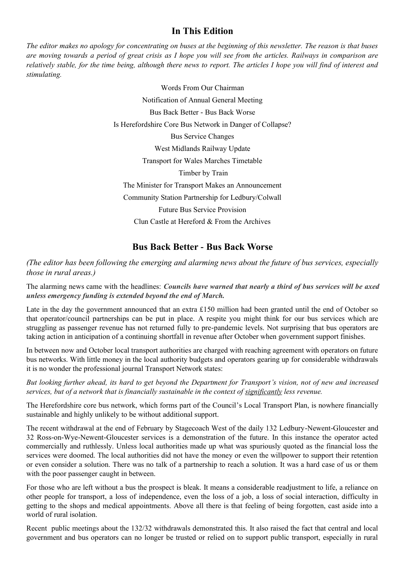#### **In This Edition**

*The editor makes no apology for concentrating on buses at the beginning of this newsletter. The reason is that buses are moving towards a period of great crisis as I hope you will see from the articles. Railways in comparison are relatively stable, for the time being, although there news to report. The articles I hope you will find of interest and stimulating.*

> Words From Our Chairman Notification of Annual General Meeting Bus Back Better - Bus Back Worse Is Herefordshire Core Bus Network in Danger of Collapse? Bus Service Changes West Midlands Railway Update Transport for Wales Marches Timetable Timber by Train The Minister for Transport Makes an Announcement Community Station Partnership for Ledbury/Colwall Future Bus Service Provision Clun Castle at Hereford & From the Archives

#### **Bus Back Better - Bus Back Worse**

*(The editor has been following the emerging and alarming news about the future of bus services, especially those in rural areas.)*

The alarming news came with the headlines: *Councils have warned that nearly a third of bus services will be axed unless emergency funding is extended beyond the end of March.* 

Late in the day the government announced that an extra £150 million had been granted until the end of October so that operator/council partnerships can be put in place. A respite you might think for our bus services which are struggling as passenger revenue has not returned fully to pre-pandemic levels. Not surprising that bus operators are taking action in anticipation of a continuing shortfall in revenue after October when government support finishes.

In between now and October local transport authorities are charged with reaching agreement with operators on future bus networks. With little money in the local authority budgets and operators gearing up for considerable withdrawals it is no wonder the professional journal Transport Network states:

*But looking further ahead, its hard to get beyond the Department for Transport's vision, not of new and increased services, but of a network that is financially sustainable in the context of significantly less revenue.*

The Herefordshire core bus network, which forms part of the Council's Local Transport Plan, is nowhere financially sustainable and highly unlikely to be without additional support.

The recent withdrawal at the end of February by Stagecoach West of the daily 132 Ledbury-Newent-Gloucester and 32 Ross-on-Wye-Newent-Gloucester services is a demonstration of the future. In this instance the operator acted commercially and ruthlessly. Unless local authorities made up what was spuriously quoted as the financial loss the services were doomed. The local authorities did not have the money or even the willpower to support their retention or even consider a solution. There was no talk of a partnership to reach a solution. It was a hard case of us or them with the poor passenger caught in between.

For those who are left without a bus the prospect is bleak. It means a considerable readjustment to life, a reliance on other people for transport, a loss of independence, even the loss of a job, a loss of social interaction, difficulty in getting to the shops and medical appointments. Above all there is that feeling of being forgotten, cast aside into a world of rural isolation.

Recent public meetings about the 132/32 withdrawals demonstrated this. It also raised the fact that central and local government and bus operators can no longer be trusted or relied on to support public transport, especially in rural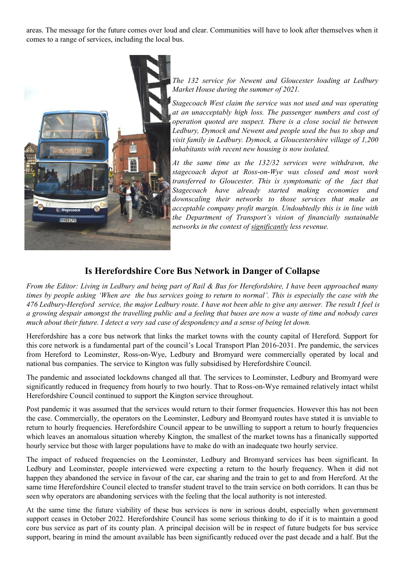areas. The message for the future comes over loud and clear. Communities will have to look after themselves when it comes to a range of services, including the local bus.



*The 132 service for Newent and Gloucester loading at Ledbury Market House during the summer of 2021.* 

*Stagecoach West claim the service was not used and was operating at an unacceptably high loss. The passenger numbers and cost of operation quoted are suspect. There is a close social tie between Ledbury, Dymock and Newent and people used the bus to shop and visit family in Ledbury. Dymock, a Gloucestershire village of 1,200 inhabitants with recent new housing is now isolated.* 

*At the same time as the 132/32 services were withdrawn, the stagecoach depot at Ross-on-Wye was closed and most work transferred to Gloucester. This is symptomatic of the fact that Stagecoach have already started making economies and downscaling their networks to those services that make an acceptable company profit margin. Undoubtedly this is in line with the Department of Transport's vision of financially sustainable networks in the context of significantly less revenue.*

#### **Is Herefordshire Core Bus Network in Danger of Collapse**

*From the Editor: Living in Ledbury and being part of Rail & Bus for Herefordshire, I have been approached many times by people asking 'When are the bus services going to return to normal'. This is especially the case with the 476 Ledbury-Hereford service, the major Ledbury route. I have not been able to give any answer. The result I feel is a growing despair amongst the travelling public and a feeling that buses are now a waste of time and nobody cares much about their future. I detect a very sad case of despondency and a sense of being let down.* 

Herefordshire has a core bus network that links the market towns with the county capital of Hereford. Support for this core network is a fundamental part of the council's Local Transport Plan 2016-2031. Pre pandemic, the services from Hereford to Leominster, Ross-on-Wye, Ledbury and Bromyard were commercially operated by local and national bus companies. The service to Kington was fully subsidised by Herefordshire Council.

The pandemic and associated lockdowns changed all that. The services to Leominster, Ledbury and Bromyard were significantly reduced in frequency from hourly to two hourly. That to Ross-on-Wye remained relatively intact whilst Herefordshire Council continued to support the Kington service throughout.

Post pandemic it was assumed that the services would return to their former frequencies. However this has not been the case. Commercially, the operators on the Leominster, Ledbury and Bromyard routes have stated it is unviable to return to hourly frequencies. Herefordshire Council appear to be unwilling to support a return to hourly frequencies which leaves an anomalous situation whereby Kington, the smallest of the market towns has a finanically supported hourly service but those with larger populations have to make do with an inadequate two hourly service.

The impact of reduced frequencies on the Leominster, Ledbury and Bromyard services has been significant. In Ledbury and Leominster, people interviewed were expecting a return to the hourly frequency. When it did not happen they abandoned the service in favour of the car, car sharing and the train to get to and from Hereford. At the same time Herefordshire Council elected to transfer student travel to the train service on both corridors. It can thus be seen why operators are abandoning services with the feeling that the local authority is not interested.

At the same time the future viability of these bus services is now in serious doubt, especially when government support ceases in October 2022. Herefordshire Council has some serious thinking to do if it is to maintain a good core bus service as part of its county plan. A principal decision will be in respect of future budgets for bus service support, bearing in mind the amount available has been significantly reduced over the past decade and a half. But the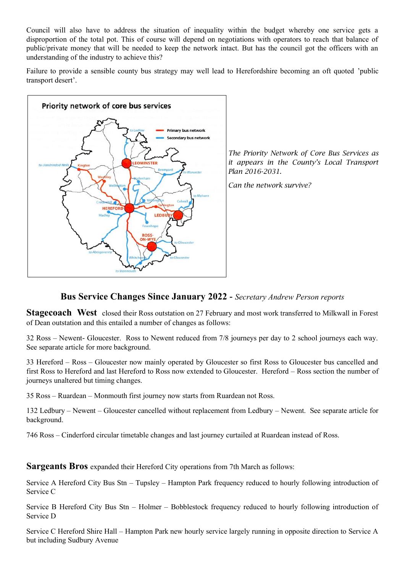Council will also have to address the situation of inequality within the budget whereby one service gets a disproportion of the total pot. This of course will depend on negotiations with operators to reach that balance of public/private money that will be needed to keep the network intact. But has the council got the officers with an understanding of the industry to achieve this?

Failure to provide a sensible county bus strategy may well lead to Herefordshire becoming an oft quoted 'public transport desert'.



*The Priority Network of Core Bus Services as it appears in the County's Local Transport Plan 2016-2031.*

*Can the network survive?*

#### **Bus Service Changes Since January 2022 -** *Secretary Andrew Person reports*

**Stagecoach West** closed their Ross outstation on 27 February and most work transferred to Milkwall in Forest of Dean outstation and this entailed a number of changes as follows:

32 Ross – Newent- Gloucester. Ross to Newent reduced from 7/8 journeys per day to 2 school journeys each way. See separate article for more background.

33 Hereford – Ross – Gloucester now mainly operated by Gloucester so first Ross to Gloucester bus cancelled and first Ross to Hereford and last Hereford to Ross now extended to Gloucester. Hereford – Ross section the number of journeys unaltered but timing changes.

35 Ross – Ruardean – Monmouth first journey now starts from Ruardean not Ross.

132 Ledbury – Newent – Gloucester cancelled without replacement from Ledbury – Newent. See separate article for background.

746 Ross – Cinderford circular timetable changes and last journey curtailed at Ruardean instead of Ross.

**Sargeants Bros** expanded their Hereford City operations from 7th March as follows:

Service A Hereford City Bus Stn – Tupsley – Hampton Park frequency reduced to hourly following introduction of Service C

Service B Hereford City Bus Stn – Holmer – Bobblestock frequency reduced to hourly following introduction of Service D

Service C Hereford Shire Hall – Hampton Park new hourly service largely running in opposite direction to Service A but including Sudbury Avenue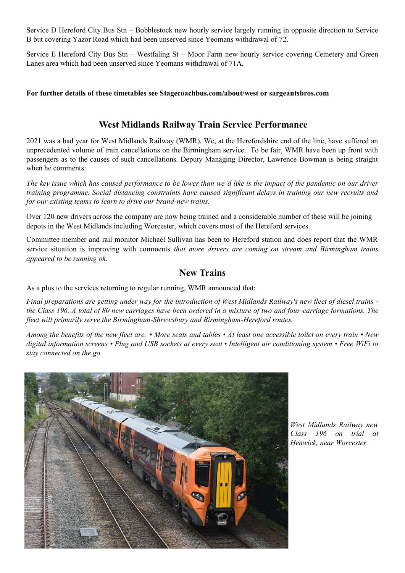Service D Hereford City Bus Stn – Bobblestock new hourly service largely running in opposite direction to Service B but covering Yazor Road which had been unserved since Yeomans withdrawal of 72.

Service E Hereford City Bus Stn – Westfaling St – Moor Farm new hourly service covering Cemetery and Green Lanes area which had been unserved since Yeomans withdrawal of 71A.

#### **For further details of these timetables see Stagecoachbus.com/about/west or sargeantsbros.com**

#### **West Midlands Railway Train Service Performance**

2021 was a bad year for West Midlands Railway (WMR). We, at the Herefordshire end of the line, have suffered an unprecedented volume of train cancellations on the Birmingham service. To be fair, WMR have been up front with passengers as to the causes of such cancellations. Deputy Managing Director, Lawrence Bowman is being straight when he comments:

*The key issue which has caused performance to be lower than we'd like is the impact of the pandemic on our driver training programme. Social distancing constraints have caused significant delays in training our new recruits and for our existing teams to learn to drive our brand-new trains.*

Over 120 new drivers across the company are now being trained and a considerable number of these will be joining depots in the West Midlands including Worcester, which covers most of the Hereford services.

Committee member and rail monitor Michael Sullivan has been to Hereford station and does report that the WMR service situation is improving with comments *that more drivers are coming on stream and Birmingham trains appeared to be running ok.*

#### **New Trains**

As a plus to the services returning to regular running, WMR announced that:

*Final preparations are getting under way for the introduction of West Midlands Railway's new fleet of diesel trains the Class 196. A total of 80 new carriages have been ordered in a mixture of two and four-carriage formations. The fleet will primarily serve the Birmingham-Shrewsbury and Birmingham-Hereford routes.* 

*Among the benefits of the new fleet are: • More seats and tables • At least one accessible toilet on every train • New digital information screens • Plug and USB sockets at every seat • Intelligent air conditioning system • Free WiFi to stay connected on the go.*



*West Midlands Railway new Class 196 on trial at Henwick, near Worcester.*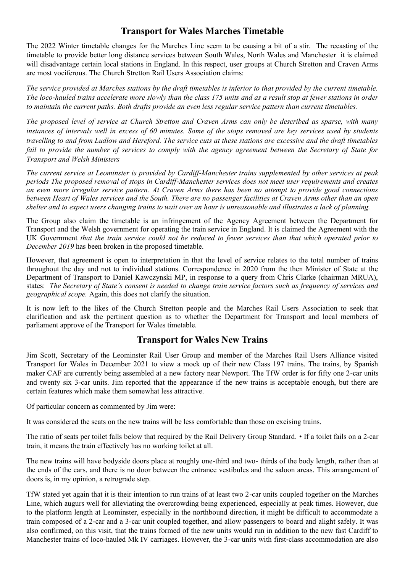#### **Transport for Wales Marches Timetable**

The 2022 Winter timetable changes for the Marches Line seem to be causing a bit of a stir. The recasting of the timetable to provide better long distance services between South Wales, North Wales and Manchester it is claimed will disadvantage certain local stations in England. In this respect, user groups at Church Stretton and Craven Arms are most vociferous. The Church Stretton Rail Users Association claims:

*The service provided at Marches stations by the draft timetables is inferior to that provided by the current timetable. The loco-hauled trains accelerate more slowly than the class 175 units and as a result stop at fewer stations in order to maintain the current paths. Both drafts provide an even less regular service pattern than current timetables.*

*The proposed level of service at Church Stretton and Craven Arms can only be described as sparse, with many instances of intervals well in excess of 60 minutes. Some of the stops removed are key services used by students travelling to and from Ludlow and Hereford. The service cuts at these stations are excessive and the draft timetables fail to provide the number of services to comply with the agency agreement between the Secretary of State for Transport and Welsh Ministers*

*The current service at Leominster is provided by Cardiff-Manchester trains supplemented by other services at peak periods The proposed removal of stops in Cardiff-Manchester services does not meet user requirements and creates an even more irregular service pattern. At Craven Arms there has been no attempt to provide good connections between Heart of Wales services and the South. There are no passenger facilities at Craven Arms other than an open shelter and to expect users changing trains to wait over an hour is unreasonable and illustrates a lack of planning.*

The Group also claim the timetable is an infringement of the Agency Agreement between the Department for Transport and the Welsh government for operating the train service in England. It is claimed the Agreement with the UK Government *that the train service could not be reduced to fewer services than that which operated prior to December 2019* has been broken in the proposed timetable.

However, that agreement is open to interpretation in that the level of service relates to the total number of trains throughout the day and not to individual stations. Correspondence in 2020 from the then Minister of State at the Department of Transport to Daniel Kawczynski MP, in response to a query from Chris Clarke (chairman MRUA), states: *The Secretary of State's consent is needed to change train service factors such as frequency of services and geographical scope.* Again, this does not clarify the situation.

It is now left to the likes of the Church Stretton people and the Marches Rail Users Association to seek that clarification and ask the pertinent question as to whether the Department for Transport and local members of parliament approve of the Transport for Wales timetable.

#### **Transport for Wales New Trains**

Jim Scott, Secretary of the Leominster Rail User Group and member of the Marches Rail Users Alliance visited Transport for Wales in December 2021 to view a mock up of their new Class 197 trains. The trains, by Spanish maker CAF are currently being assembled at a new factory near Newport. The TfW order is for fifty one 2-car units and twenty six 3-car units. Jim reported that the appearance if the new trains is acceptable enough, but there are certain features which make them somewhat less attractive.

Of particular concern as commented by Jim were:

It was considered the seats on the new trains will be less comfortable than those on excising trains.

The ratio of seats per toilet falls below that required by the Rail Delivery Group Standard. • If a toilet fails on a 2-car train, it means the train effectively has no working toilet at all.

The new trains will have bodyside doors place at roughly one-third and two- thirds of the body length, rather than at the ends of the cars, and there is no door between the entrance vestibules and the saloon areas. This arrangement of doors is, in my opinion, a retrograde step.

TfW stated yet again that it is their intention to run trains of at least two 2-car units coupled together on the Marches Line, which augurs well for alleviating the overcrowding being experienced, especially at peak times. However, due to the platform length at Leominster, especially in the northbound direction, it might be difficult to accommodate a train composed of a 2-car and a 3-car unit coupled together, and allow passengers to board and alight safely. It was also confirmed, on this visit, that the trains formed of the new units would run in addition to the new fast Cardiff to Manchester trains of loco-hauled Mk IV carriages. However, the 3-car units with first-class accommodation are also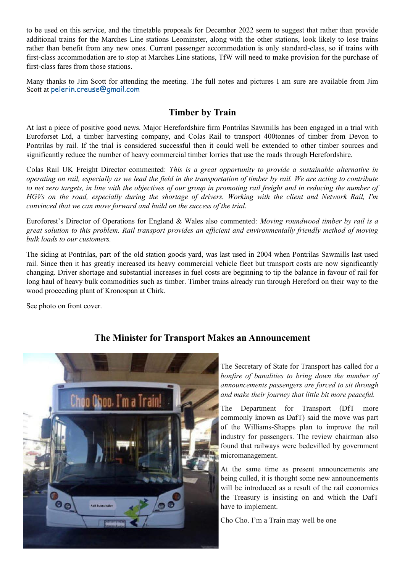to be used on this service, and the timetable proposals for December 2022 seem to suggest that rather than provide additional trains for the Marches Line stations Leominster, along with the other stations, look likely to lose trains rather than benefit from any new ones. Current passenger accommodation is only standard-class, so if trains with first-class accommodation are to stop at Marches Line stations, TfW will need to make provision for the purchase of first-class fares from those stations.

Many thanks to Jim Scott for attending the meeting. The full notes and pictures I am sure are available from Jim Scott at [pelerin.creuse@gmail.com](mailto:pelerin.creuse@gmail.com)

#### **Timber by Train**

At last a piece of positive good news. Major Herefordshire firm Pontrilas Sawmills has been engaged in a trial with Euroforset Ltd, a timber harvesting company, and Colas Rail to transport 400tonnes of timber from Devon to Pontrilas by rail. If the trial is considered successful then it could well be extended to other timber sources and significantly reduce the number of heavy commercial timber lorries that use the roads through Herefordshire.

Colas Rail UK Freight Director commented: *This is a great opportunity to provide a sustainable alternative in operating on rail, especially as we lead the field in the transportation of timber by rail. We are acting to contribute to net zero targets, in line with the objectives of our group in promoting rail freight and in reducing the number of HGVs on the road, especially during the shortage of drivers. Working with the client and Network Rail, I'm convinced that we can move forward and build on the success of the trial.*

Euroforest's Director of Operations for England & Wales also commented: *Moving roundwood timber by rail is a great solution to this problem. Rail transport provides an efficient and environmentally friendly method of moving bulk loads to our customers.* 

The siding at Pontrilas, part of the old station goods yard, was last used in 2004 when Pontrilas Sawmills last used rail. Since then it has greatly increased its heavy commercial vehicle fleet but transport costs are now significantly changing. Driver shortage and substantial increases in fuel costs are beginning to tip the balance in favour of rail for long haul of heavy bulk commodities such as timber. Timber trains already run through Hereford on their way to the wood proceeding plant of Kronospan at Chirk.

See photo on front cover.



#### **The Minister for Transport Makes an Announcement**

The Secretary of State for Transport has called for *a bonfire of banalities to bring down the number of announcements passengers are forced to sit through and make their journey that little bit more peaceful.*

The Department for Transport (DfT more commonly known as DafT) said the move was part of the Williams-Shapps plan to improve the rail industry for passengers. The review chairman also found that railways were bedevilled by government micromanagement.

At the same time as present announcements are being culled, it is thought some new announcements will be introduced as a result of the rail economies the Treasury is insisting on and which the DafT have to implement.

Cho Cho. I'm a Train may well be one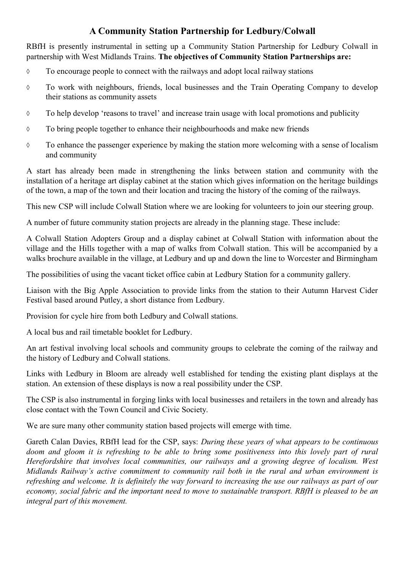#### **A Community Station Partnership for Ledbury/Colwall**

RBfH is presently instrumental in setting up a Community Station Partnership for Ledbury Colwall in partnership with West Midlands Trains. **The objectives of Community Station Partnerships are:**

- $\Diamond$  To encourage people to connect with the railways and adopt local railway stations
- To work with neighbours, friends, local businesses and the Train Operating Company to develop their stations as community assets
- To help develop 'reasons to travel' and increase train usage with local promotions and publicity
- To bring people together to enhance their neighbourhoods and make new friends
- $\Diamond$  To enhance the passenger experience by making the station more welcoming with a sense of localism and community

A start has already been made in strengthening the links between station and community with the installation of a heritage art display cabinet at the station which gives information on the heritage buildings of the town, a map of the town and their location and tracing the history of the coming of the railways.

This new CSP will include Colwall Station where we are looking for volunteers to join our steering group.

A number of future community station projects are already in the planning stage. These include:

A Colwall Station Adopters Group and a display cabinet at Colwall Station with information about the village and the Hills together with a map of walks from Colwall station. This will be accompanied by a walks brochure available in the village, at Ledbury and up and down the line to Worcester and Birmingham

The possibilities of using the vacant ticket office cabin at Ledbury Station for a community gallery.

Liaison with the Big Apple Association to provide links from the station to their Autumn Harvest Cider Festival based around Putley, a short distance from Ledbury.

Provision for cycle hire from both Ledbury and Colwall stations.

A local bus and rail timetable booklet for Ledbury.

An art festival involving local schools and community groups to celebrate the coming of the railway and the history of Ledbury and Colwall stations.

Links with Ledbury in Bloom are already well established for tending the existing plant displays at the station. An extension of these displays is now a real possibility under the CSP.

The CSP is also instrumental in forging links with local businesses and retailers in the town and already has close contact with the Town Council and Civic Society.

We are sure many other community station based projects will emerge with time.

Gareth Calan Davies, RBfH lead for the CSP, says: *During these years of what appears to be continuous doom and gloom it is refreshing to be able to bring some positiveness into this lovely part of rural Herefordshire that involves local communities, our railways and a growing degree of localism. West Midlands Railway's active commitment to community rail both in the rural and urban environment is refreshing and welcome. It is definitely the way forward to increasing the use our railways as part of our economy, social fabric and the important need to move to sustainable transport. RBfH is pleased to be an integral part of this movement.*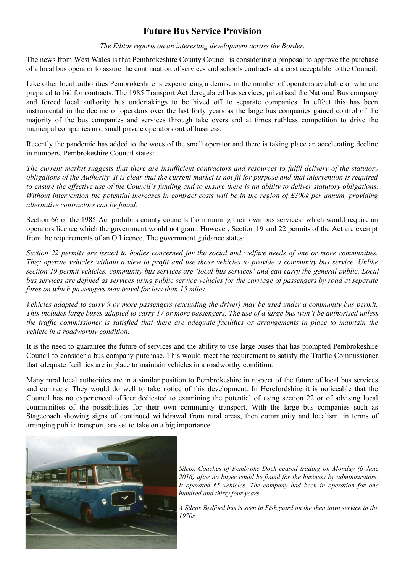#### **Future Bus Service Provision**

#### *The Editor reports on an interesting development across the Border.*

The news from West Wales is that Pembrokeshire County Council is considering a proposal to approve the purchase of a local bus operator to assure the continuation of services and schools contracts at a cost acceptable to the Council.

Like other local authorities Pembrokeshire is experiencing a demise in the number of operators available or who are prepared to bid for contracts. The 1985 Transport Act deregulated bus services, privatised the National Bus company and forced local authority bus undertakings to be hived off to separate companies. In effect this has been instrumental in the decline of operators over the last forty years as the large bus companies gained control of the majority of the bus companies and services through take overs and at times ruthless competition to drive the municipal companies and small private operators out of business.

Recently the pandemic has added to the woes of the small operator and there is taking place an accelerating decline in numbers. Pembrokeshire Council states:

*The current market suggests that there are insufficient contractors and resources to fulfil delivery of the statutory obligations of the Authority. It is clear that the current market is not fit for purpose and that intervention is required to ensure the effective use of the Council's funding and to ensure there is an ability to deliver statutory obligations. Without intervention the potential increases in contract costs will be in the region of £300k per annum, providing alternative contractors can be found.* 

Section 66 of the 1985 Act prohibits county councils from running their own bus services which would require an operators licence which the government would not grant. However, Section 19 and 22 permits of the Act are exempt from the requirements of an O Licence. The government guidance states:

*[Section 22 permits](https://www.gov.uk/government/publications/section-19-and-22-permits-not-for-profit-passenger-transport/section-19-and-22-permits-not-for-profit-passenger-transport#section-22-community-bus-permits) are issued to bodies concerned for the social and welfare needs of one or more communities. They operate vehicles without a view to profit and use those vehicles to provide a community bus service. Unlike section 19 permit vehicles, community bus services are 'local bus services' and can carry the general public. Local bus services are defined as services using public service vehicles for the carriage of passengers by road at separate fares on which passengers may travel for less than 15 miles.*

*Vehicles adapted to carry 9 or more passengers (excluding the driver) may be used under a community bus permit. This includes large buses adapted to carry 17 or more passengers. The use of a large bus won't be authorised unless the traffic commissioner is satisfied that there are adequate facilities or arrangements in place to maintain the vehicle in a roadworthy condition.*

It is the need to guarantee the future of services and the ability to use large buses that has prompted Pembrokeshire Council to consider a bus company purchase. This would meet the requirement to satisfy the Traffic Commissioner that adequate facilities are in place to maintain vehicles in a roadworthy condition.

Many rural local authorities are in a similar position to Pembrokeshire in respect of the future of local bus services and contracts. They would do well to take notice of this development. In Herefordshire it is noticeable that the Council has no experienced officer dedicated to examining the potential of using section 22 or of advising local communities of the possibilities for their own community transport. With the large bus companies such as Stagecoach showing signs of continued withdrawal from rural areas, then community and localism, in terms of arranging public transport, are set to take on a big importance.



*Silcox Coaches of Pembroke Dock ceased trading on Monday (6 June 2016) after no buyer could be found for the business by administrators. It operated 65 vehicles. The company had been in operation for one hundred and thirty four years.* 

*A Silcox Bedford bus is seen in Fishguard on the then town service in the 1970s*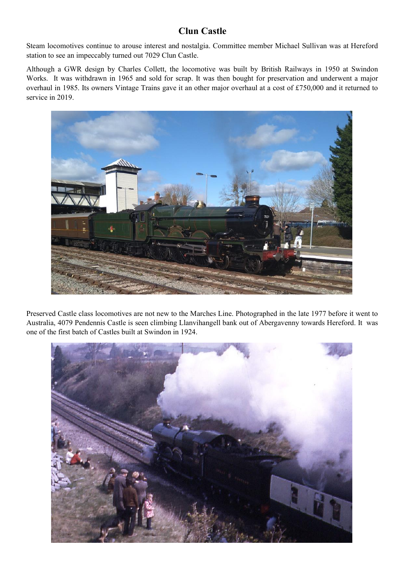#### **Clun Castle**

Steam locomotives continue to arouse interest and nostalgia. Committee member Michael Sullivan was at Hereford station to see an impeccably turned out 7029 Clun Castle.

Although a GWR design by Charles Collett, the locomotive was built by British Railways in 1950 at Swindon Works. It was withdrawn in 1965 and sold for scrap. It was then bought for preservation and underwent a major overhaul in 1985. Its owners Vintage Trains gave it an other major overhaul at a cost of £750,000 and it returned to service in 2019.



Preserved Castle class locomotives are not new to the Marches Line. Photographed in the late 1977 before it went to Australia, 4079 Pendennis Castle is seen climbing Llanvihangell bank out of Abergavenny towards Hereford. It was one of the first batch of Castles built at Swindon in 1924.

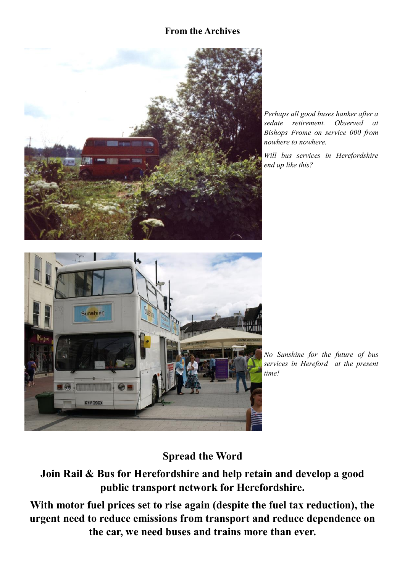#### **From the Archives**



*Perhaps all good buses hanker after a sedate retirement. Observed at Bishops Frome on service 000 from nowhere to nowhere.*

*Will bus services in Herefordshire end up like this?*



*No Sunshine for the future of bus services in Hereford at the present time!*

# **Spread the Word**

**Join Rail & Bus for Herefordshire and help retain and develop a good public transport network for Herefordshire.**

**With motor fuel prices set to rise again (despite the fuel tax reduction), the urgent need to reduce emissions from transport and reduce dependence on the car, we need buses and trains more than ever.**